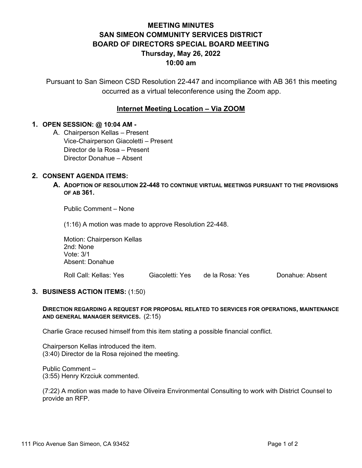# **MEETING MINUTES SAN SIMEON COMMUNITY SERVICES DISTRICT BOARD OF DIRECTORS SPECIAL BOARD MEETING Thursday, May 26, 2022 10:00 am**

Pursuant to San Simeon CSD Resolution 22-447 and incompliance with AB 361 this meeting occurred as a virtual teleconference using the Zoom app.

## **Internet Meeting Location – Via ZOOM**

### **1. OPEN SESSION: @ 10:04 AM -**

A. Chairperson Kellas – Present Vice-Chairperson Giacoletti – Present Director de la Rosa – Present Director Donahue – Absent

### **2. CONSENT AGENDA ITEMS:**

**A. ADOPTION OF RESOLUTION 22-448 TO CONTINUE VIRTUAL MEETINGS PURSUANT TO THE PROVISIONS OF AB 361.**

Public Comment – None

(1:16) A motion was made to approve Resolution 22-448.

Motion: Chairperson Kellas 2nd: None Vote: 3/1 Absent: Donahue

Roll Call: Kellas: Yes Giacoletti: Yes de la Rosa: Yes Donahue: Absent

#### **3. BUSINESS ACTION ITEMS:** (1:50)

#### **DIRECTION REGARDING A REQUEST FOR PROPOSAL RELATED TO SERVICES FOR OPERATIONS, MAINTENANCE AND GENERAL MANAGER SERVICES.** (2:15)

Charlie Grace recused himself from this item stating a possible financial conflict.

Chairperson Kellas introduced the item. (3:40) Director de la Rosa rejoined the meeting.

Public Comment – (3:55) Henry Krzciuk commented.

(7:22) A motion was made to have Oliveira Environmental Consulting to work with District Counsel to provide an RFP.